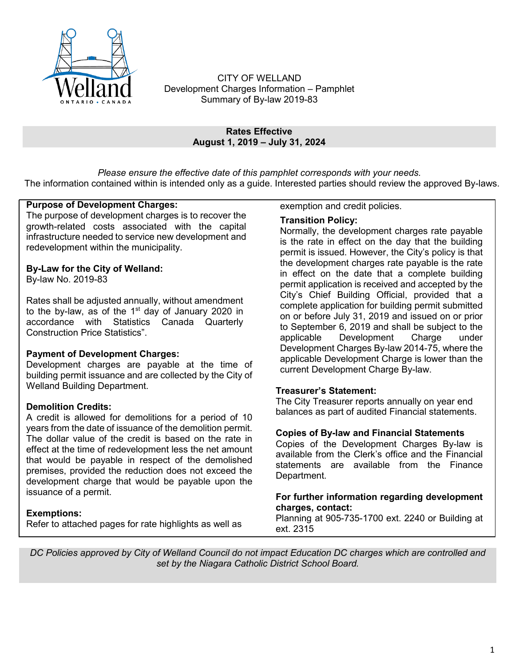

CITY OF WELLAND Development Charges Information – Pamphlet Summary of By-law 2019-83

#### **Rates Effective August 1, 2019 – July 31, 2024**

*Please ensure the effective date of this pamphlet corresponds with your needs.* The information contained within is intended only as a guide. Interested parties should review the approved By-laws.

## **Purpose of Development Charges:**

The purpose of development charges is to recover the growth-related costs associated with the capital infrastructure needed to service new development and redevelopment within the municipality.

## **By-Law for the City of Welland:**

By-law No. 2019-83

Rates shall be adjusted annually, without amendment to the by-law, as of the  $1<sup>st</sup>$  day of January 2020 in accordance with Statistics Canada Quarterly Construction Price Statistics".

#### **Payment of Development Charges:**

Development charges are payable at the time of building permit issuance and are collected by the City of Welland Building Department.

#### **Demolition Credits:**

A credit is allowed for demolitions for a period of 10 years from the date of issuance of the demolition permit. The dollar value of the credit is based on the rate in effect at the time of redevelopment less the net amount that would be payable in respect of the demolished premises, provided the reduction does not exceed the development charge that would be payable upon the issuance of a permit.

## **Exemptions:**

Refer to attached pages for rate highlights as well as

exemption and credit policies.

#### **Transition Policy:**

Normally, the development charges rate payable is the rate in effect on the day that the building permit is issued. However, the City's policy is that the development charges rate payable is the rate in effect on the date that a complete building permit application is received and accepted by the City's Chief Building Official, provided that a complete application for building permit submitted on or before July 31, 2019 and issued on or prior to September 6, 2019 and shall be subject to the applicable Development Charge under Development Charges By-law 2014-75, where the applicable Development Charge is lower than the current Development Charge By-law.

## **Treasurer's Statement:**

The City Treasurer reports annually on year end balances as part of audited Financial statements.

## **Copies of By-law and Financial Statements**

Copies of the Development Charges By-law is available from the Clerk's office and the Financial statements are available from the Finance Department.

#### **For further information regarding development charges, contact:**

Planning at 905-735-1700 ext. 2240 or Building at ext. 2315

*DC Policies approved by City of Welland Council do not impact Education DC charges which are controlled and set by the Niagara Catholic District School Board.*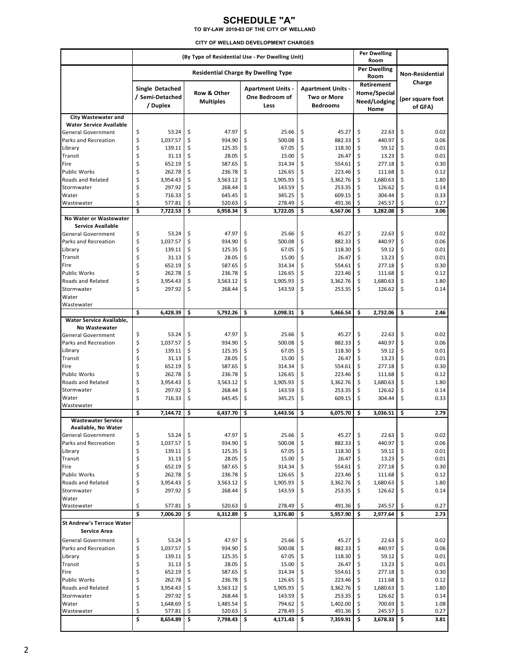## **SCHEDULE "A"**

**TO BY-LAW 2019-83 OF THE CITY OF WELLAND**

|                                                   | (By Type of Residential Use - Per Dwelling Unit) |          |                  |          |                          |           |                          |                            | Per Dwelling<br>Room |          |                        |  |
|---------------------------------------------------|--------------------------------------------------|----------|------------------|----------|--------------------------|-----------|--------------------------|----------------------------|----------------------|----------|------------------------|--|
|                                                   | <b>Residential Charge By Dwelling Type</b>       |          |                  |          |                          |           |                          |                            | <b>Per Dwelling</b>  |          | <b>Non-Residential</b> |  |
|                                                   |                                                  |          |                  |          |                          |           | Room                     |                            | Charge               |          |                        |  |
|                                                   | Single Detached                                  |          | Row & Other      |          | <b>Apartment Units -</b> |           | <b>Apartment Units -</b> | Retirement<br>Home/Special |                      |          |                        |  |
|                                                   | / Semi-Detached                                  |          | <b>Multiples</b> |          | One Bedroom of           |           | <b>Two or More</b>       |                            | Need/Lodging         |          | (per square foot       |  |
|                                                   | / Duplex                                         |          |                  |          | Less                     |           | <b>Bedrooms</b>          |                            | Home                 |          | of GFA)                |  |
| <b>City Wastewater and</b>                        |                                                  |          |                  |          |                          |           |                          |                            |                      |          |                        |  |
| <b>Water Service Available</b>                    |                                                  |          |                  |          |                          |           |                          |                            |                      |          |                        |  |
| <b>General Government</b><br>Parks and Recreation | \$<br>53.24<br>\$<br>1,037.57                    | \$<br>\$ | 47.97<br>934.90  | \$<br>\$ | 25.66<br>500.08          | \$<br>\$  | 45.27<br>882.33          | \$<br>\$                   | 22.63<br>440.97      | \$<br>\$ | 0.02<br>0.06           |  |
| Library                                           | \$<br>139.11                                     | \$       | 125.35           | \$       | 67.05                    | \$        | 118.30                   | \$                         | 59.12                | \$       | 0.01                   |  |
| Transit                                           | \$<br>31.13                                      | \$       | 28.05            | \$       | 15.00                    | \$        | 26.47                    | \$                         | 13.23                | \$       | 0.01                   |  |
| Fire                                              | \$<br>652.19                                     | \$       | 587.65           | \$       | 314.34                   | \$        | 554.61                   | \$                         | 277.18               | \$       | 0.30                   |  |
| <b>Public Works</b>                               | \$<br>262.78                                     | \$       | 236.78           | \$       | 126.65                   | \$        | 223.46                   | \$                         | 111.68               | \$       | 0.12                   |  |
| Roads and Related                                 | \$<br>3,954.43                                   | \$       | 3,563.12         | \$       | 1,905.93                 | \$        | 3,362.76                 | \$                         | 1,680.63             | \$       | 1.80                   |  |
| Stormwater<br>Water                               | \$<br>297.92<br>\$<br>716.33                     | \$<br>\$ | 268.44<br>645.45 | \$<br>\$ | 143.59<br>345.25         | \$<br>\$  | 253.35<br>609.15         | \$<br>\$                   | 126.62<br>304.44     | \$<br>\$ | 0.14<br>0.33           |  |
| Wastewater                                        | \$<br>577.81                                     | \$       | 520.63           | \$       | 278.49                   | \$        | 491.36                   | \$                         | 245.57               | \$       | 0.27                   |  |
|                                                   | Ś<br>7,722.53                                    | \$       | 6,958.34         | \$       | 3,722.05                 | \$        | 6,567.06                 | \$                         | 3,282.08             | \$       | 3.06                   |  |
| No Water or Wastewater                            |                                                  |          |                  |          |                          |           |                          |                            |                      |          |                        |  |
| <b>Service Available</b>                          |                                                  |          |                  |          |                          |           |                          |                            |                      |          |                        |  |
| <b>General Government</b>                         | \$<br>53.24<br>\$<br>1,037.57                    | \$       | 47.97            | \$       | 25.66                    | \$        | 45.27<br>882.33          | \$                         | 22.63<br>440.97      | \$       | 0.02                   |  |
| Parks and Recreation<br>Library                   | \$<br>139.11                                     | \$<br>\$ | 934.90<br>125.35 | \$<br>\$ | 500.08<br>67.05          | \$<br>\$  | 118.30                   | \$<br>\$                   | 59.12                | \$<br>\$ | 0.06<br>0.01           |  |
| Transit                                           | \$<br>31.13                                      | \$       | 28.05            | \$       | 15.00                    | \$        | 26.47                    | \$                         | 13.23                | \$       | 0.01                   |  |
| Fire                                              | \$<br>652.19                                     | \$       | 587.65           | \$       | 314.34                   | \$        | 554.61                   | \$                         | 277.18               | \$       | 0.30                   |  |
| Public Works                                      | \$<br>262.78                                     | \$       | 236.78           | \$       | 126.65                   | \$        | 223.46                   | \$                         | 111.68               | \$       | 0.12                   |  |
| <b>Roads and Related</b>                          | \$<br>3,954.43                                   | \$       | 3,563.12         | \$       | 1,905.93                 | \$        | 3,362.76                 | \$                         | 1,680.63             | \$       | 1.80                   |  |
| Stormwater                                        | \$<br>297.92                                     | \$       | 268.44           | \$       | 143.59                   | \$        | 253.35                   | \$                         | 126.62               | \$       | 0.14                   |  |
| Water                                             |                                                  |          |                  |          |                          |           |                          |                            |                      |          |                        |  |
| Wastewater                                        | \$<br>6,428.39                                   | \$       | 5,792.26         | \$       | 3,098.31                 | \$        | 5,466.54                 | \$                         | 2.732.06             | \$       | 2.46                   |  |
| Water Service Available,                          |                                                  |          |                  |          |                          |           |                          |                            |                      |          |                        |  |
| <b>No Wastewater</b>                              | \$<br>53.24                                      | \$       | 47.97            | \$       | 25.66                    | \$        | 45.27                    | \$                         | 22.63                | \$       | 0.02                   |  |
| <b>General Government</b><br>Parks and Recreation | \$<br>1,037.57                                   | \$       | 934.90           | \$       | 500.08                   | \$        | 882.33                   | \$                         | 440.97               | \$       | 0.06                   |  |
| Library                                           | \$<br>139.11                                     | \$       | 125.35           | \$       | 67.05                    | \$        | 118.30                   | \$                         | 59.12                | \$       | 0.01                   |  |
| Transit                                           | \$<br>31.13                                      | \$       | 28.05            | \$       | 15.00                    | \$        | 26.47                    | \$                         | 13.23                | \$       | 0.01                   |  |
| Fire                                              | \$<br>652.19                                     | \$       | 587.65           | \$       | 314.34                   | \$        | 554.61                   | \$                         | 277.18               | \$       | 0.30                   |  |
| <b>Public Works</b>                               | \$<br>262.78                                     | \$       | 236.78           | \$       | 126.65                   | \$        | 223.46                   | \$                         | 111.68               | \$       | 0.12                   |  |
| <b>Roads and Related</b>                          | \$<br>3,954.43                                   | \$       | 3,563.12         | \$       | 1,905.93                 | \$        | 3,362.76                 | \$                         | 1,680.63             | \$       | 1.80                   |  |
| Stormwater<br>Water                               | \$<br>297.92<br>\$<br>716.33                     | \$<br>\$ | 268.44<br>645.45 | \$<br>\$ | 143.59<br>345.25         | \$<br>\$  | 253.35<br>609.15         | \$<br>\$                   | 126.62<br>304.44     | \$<br>\$ | 0.14<br>0.33           |  |
| Wastewater                                        |                                                  |          |                  |          |                          |           |                          |                            |                      |          |                        |  |
|                                                   | \$<br>7,144.72                                   | \$       | 6,437.70         | \$       | 3,443.56                 | \$        | 6,075.70                 | \$                         | 3,036.51             | \$       | 2.79                   |  |
| <b>Wastewater Service</b>                         |                                                  |          |                  |          |                          |           |                          |                            |                      |          |                        |  |
| Available, No Water                               |                                                  |          |                  |          |                          |           |                          |                            |                      |          |                        |  |
| General Government<br>Parks and Recreation        | \$<br>53.24<br>\$<br>1,037.57                    | \$<br>\$ | 47.97<br>934.90  | \$<br>\$ | 25.66<br>500.08          | \$.<br>\$ | 45.27<br>882.33          | \$<br>\$                   | 22.63<br>440.97      | \$<br>\$ | 0.02<br>0.06           |  |
| Library                                           | \$<br>139.11                                     | \$       | 125.35           | \$       | 67.05                    | \$        | 118.30                   | \$                         | 59.12                | \$       | 0.01                   |  |
| Transit                                           | \$<br>31.13                                      | \$       | 28.05            | \$       | 15.00                    | \$        | 26.47                    | \$                         | 13.23                | \$       | 0.01                   |  |
| Fire                                              | \$<br>652.19                                     | \$       | 587.65           | \$       | 314.34                   | \$        | 554.61                   | \$                         | 277.18               | \$       | 0.30                   |  |
| Public Works                                      | \$<br>262.78                                     | \$       | 236.78           | \$       | 126.65                   | \$        | 223.46                   | \$                         | 111.68               | \$       | 0.12                   |  |
| Roads and Related                                 | \$<br>3,954.43                                   | \$       | 3,563.12         | \$       | 1,905.93                 | \$        | 3,362.76                 | \$                         | 1,680.63             | \$       | 1.80                   |  |
| Stormwater<br>Water                               | \$<br>297.92                                     | \$       | 268.44           | \$       | 143.59                   | \$        | 253.35                   | \$                         | 126.62               | \$       | 0.14                   |  |
| Wastewater                                        | \$<br>577.81                                     | \$       | 520.63           | \$       | 278.49                   | \$        | 491.36                   | \$                         | 245.57               | \$       | 0.27                   |  |
|                                                   | \$<br>7,006.20                                   | \$       | 6,312.89         | \$       | 3,376.80                 | \$        | 5,957.90                 | \$                         | 2,977.64             | \$       | 2.73                   |  |
| <b>St Andrew's Terrace Water</b>                  |                                                  |          |                  |          |                          |           |                          |                            |                      |          |                        |  |
| <b>Service Area</b>                               |                                                  |          |                  |          |                          |           |                          |                            |                      |          |                        |  |
| <b>General Government</b>                         | \$<br>53.24                                      | \$       | 47.97            | \$       | 25.66                    | \$.       | 45.27                    | \$                         | 22.63                | \$       | 0.02                   |  |
| Parks and Recreation                              | \$<br>1,037.57                                   | \$       | 934.90           | \$       | 500.08                   | \$        | 882.33                   | \$                         | 440.97               | \$       | 0.06                   |  |
| Library                                           | \$<br>139.11<br>\$                               | \$       | 125.35           | \$       | 67.05                    | \$        | 118.30                   | \$                         | 59.12                | \$       | 0.01                   |  |
| Transit<br>Fire                                   | 31.13<br>\$<br>652.19                            | \$<br>\$ | 28.05<br>587.65  | \$<br>\$ | 15.00<br>314.34          | \$<br>\$  | 26.47<br>554.61          | \$<br>\$                   | 13.23<br>277.18      | \$<br>\$ | 0.01<br>0.30           |  |
| <b>Public Works</b>                               | \$<br>262.78                                     | \$       | 236.78           | \$       | 126.65                   | \$        | 223.46                   | \$                         | 111.68               | \$       | 0.12                   |  |
| Roads and Related                                 | \$<br>3,954.43                                   | \$       | 3,563.12         | \$       | 1,905.93                 | \$        | 3,362.76                 | \$                         | 1,680.63             | \$       | 1.80                   |  |
| Stormwater                                        | \$<br>297.92                                     | \$       | 268.44           | \$       | 143.59                   | \$        | 253.35                   | \$                         | 126.62               | \$       | 0.14                   |  |
| Water                                             | \$<br>1,648.69                                   | \$       | 1,485.54         | \$       | 794.62                   | \$        | 1,402.00                 | \$                         | 700.69               | \$       | 1.08                   |  |
| Wastewater                                        | \$<br>577.81                                     | \$       | 520.63           | \$       | 278.49                   | \$        | 491.36                   | \$                         | 245.57               | \$       | 0.27                   |  |
|                                                   | \$<br>8,654.89                                   | \$       | 7,798.43         | \$       | 4,171.43                 | \$        | 7,359.91                 | \$                         | 3,678.33             | \$       | 3.81                   |  |
|                                                   |                                                  |          |                  |          |                          |           |                          |                            |                      |          |                        |  |